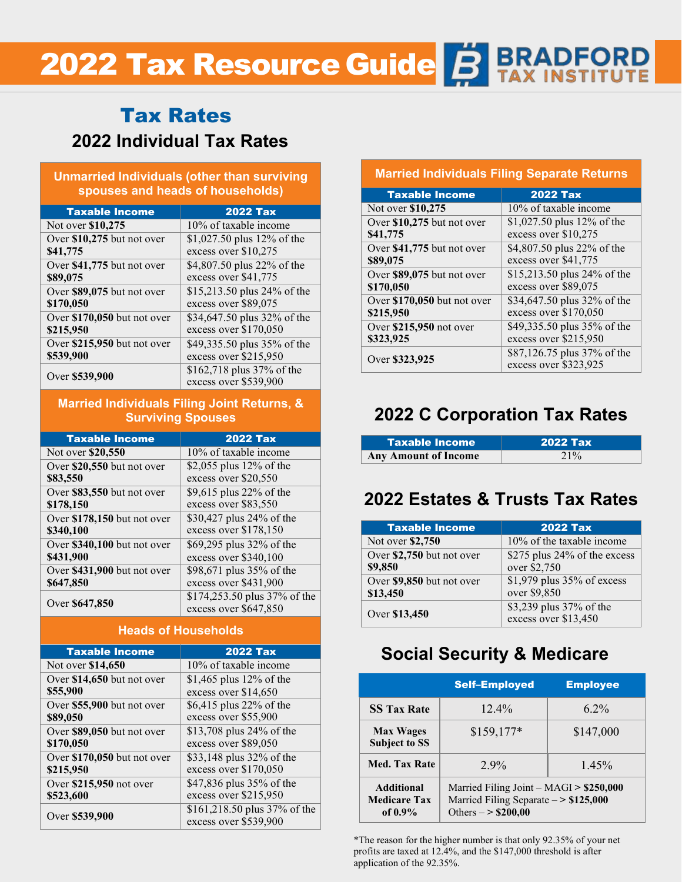# **2022 Tax Resource Guide B BRADFORD**

# **2022 Individual Tax Rates** Tax Rates

#### **Unmarried Individuals (other than surviving spouses and heads of households)**

| <b>Taxable Income</b>       | <b>2022 Tax</b>             |
|-----------------------------|-----------------------------|
| Not over \$10,275           | 10% of taxable income       |
| Over \$10,275 but not over  | \$1,027.50 plus 12% of the  |
| \$41,775                    | excess over \$10,275        |
| Over \$41,775 but not over  | \$4,807.50 plus 22% of the  |
| \$89,075                    | excess over \$41,775        |
| Over \$89,075 but not over  | \$15,213.50 plus 24% of the |
| \$170,050                   | excess over \$89,075        |
| Over \$170,050 but not over | \$34,647.50 plus 32% of the |
| \$215,950                   | excess over \$170,050       |
| Over \$215,950 but not over | \$49,335.50 plus 35% of the |
| \$539,900                   | excess over \$215,950       |
| Over \$539,900              | \$162,718 plus 37% of the   |
|                             | excess over \$539,900       |

#### **Married Individuals Filing Joint Returns, & Surviving Spouses**

| <b>Taxable Income</b>       | <b>2022 Tax</b>              |
|-----------------------------|------------------------------|
| Not over \$20,550           | 10% of taxable income        |
| Over \$20,550 but not over  | \$2,055 plus 12% of the      |
| \$83,550                    | excess over \$20,550         |
| Over \$83,550 but not over  | \$9,615 plus 22% of the      |
| \$178,150                   | excess over \$83,550         |
| Over \$178,150 but not over | \$30,427 plus 24% of the     |
| \$340,100                   | excess over \$178,150        |
| Over \$340,100 but not over | \$69,295 plus 32% of the     |
| \$431,900                   | excess over \$340,100        |
| Over \$431,900 but not over | \$98,671 plus 35% of the     |
| \$647,850                   | excess over \$431,900        |
|                             | \$174,253.50 plus 37% of the |
| Over \$647,850              | excess over \$647,850        |

#### **Heads of Households**

| <b>Taxable Income</b>       | <b>2022 Tax</b>              |
|-----------------------------|------------------------------|
| Not over \$14,650           | 10% of taxable income        |
| Over \$14,650 but not over  | \$1,465 plus $12\%$ of the   |
| \$55,900                    | excess over \$14,650         |
| Over \$55,900 but not over  | \$6,415 plus 22% of the      |
| \$89,050                    | excess over \$55,900         |
| Over \$89,050 but not over  | \$13,708 plus 24% of the     |
| \$170,050                   | excess over \$89,050         |
| Over \$170,050 but not over | \$33,148 plus 32% of the     |
| \$215,950                   | excess over \$170,050        |
| Over \$215,950 not over     | \$47,836 plus 35% of the     |
| \$523,600                   | excess over \$215,950        |
|                             | \$161,218.50 plus 37% of the |
| Over \$539,900              | excess over \$539,900        |

#### **Married Individuals Filing Separate Returns**

| <b>Taxable Income</b>       | <b>2022 Tax</b>                                      |
|-----------------------------|------------------------------------------------------|
| Not over \$10,275           | 10% of taxable income                                |
| Over \$10,275 but not over  | \$1,027.50 plus $12\%$ of the                        |
| \$41,775                    | excess over \$10,275                                 |
| Over \$41,775 but not over  | \$4,807.50 plus 22% of the                           |
| \$89,075                    | excess over \$41,775                                 |
| Over \$89,075 but not over  | \$15,213.50 plus 24% of the                          |
| \$170,050                   | excess over \$89,075                                 |
| Over \$170,050 but not over | \$34,647.50 plus 32% of the                          |
| \$215,950                   | excess over \$170,050                                |
| Over \$215,950 not over     | \$49,335.50 plus 35% of the                          |
| \$323,925                   | excess over \$215,950                                |
| Over \$323,925              | \$87,126.75 plus 37% of the<br>excess over \$323,925 |

## **2022 C Corporation Tax Rates**

| <b>Taxable Income</b>       | <b>2022 Tax</b> |
|-----------------------------|-----------------|
| <b>Any Amount of Income</b> | 21%             |

## **2022 Estates & Trusts Tax Rates**

| <b>Taxable Income</b>     | <b>2022 Tax</b>              |
|---------------------------|------------------------------|
| Not over \$2,750          | $10\%$ of the taxable income |
| Over \$2,750 but not over | \$275 plus 24% of the excess |
| \$9,850                   | over \$2,750                 |
| Over \$9,850 but not over | $$1,979$ plus 35% of excess  |
| \$13,450                  | over \$9,850                 |
| Over \$13,450             | \$3,239 plus 37% of the      |
|                           | excess over \$13,450         |

## **Social Security & Medicare**

|                                                        | <b>Self-Employed</b>                                                                                     | <b>Employee</b> |
|--------------------------------------------------------|----------------------------------------------------------------------------------------------------------|-----------------|
| <b>SS Tax Rate</b>                                     | $12.4\%$                                                                                                 | $6.2\%$         |
| <b>Max Wages</b><br><b>Subject to SS</b>               | $$159,177*$                                                                                              | \$147,000       |
| <b>Med. Tax Rate</b>                                   | $2.9\%$                                                                                                  | $1.45\%$        |
| <b>Additional</b><br><b>Medicare Tax</b><br>of $0.9\%$ | Married Filing Joint - MAGI > \$250,000<br>Married Filing Separate -> \$125,000<br>Others $-$ > \$200,00 |                 |

\*The reason for the higher number is that only 92.35% of your net profits are taxed at 12.4%, and the \$147,000 threshold is after application of the 92.35%.